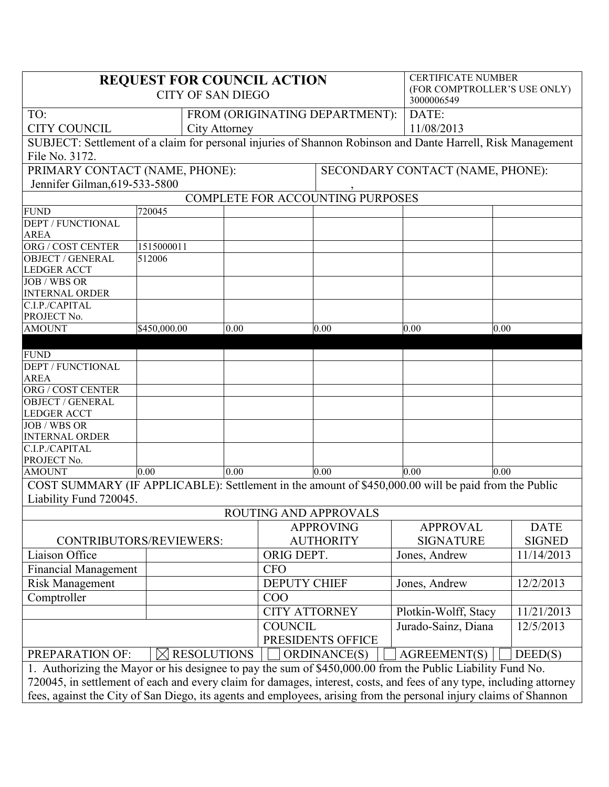| <b>REQUEST FOR COUNCIL ACTION</b><br><b>CITY OF SAN DIEGO</b>                                                        |              |            |                   |                                  |                     |                      | <b>CERTIFICATE NUMBER</b><br>(FOR COMPTROLLER'S USE ONLY)<br>3000006549 |               |  |
|----------------------------------------------------------------------------------------------------------------------|--------------|------------|-------------------|----------------------------------|---------------------|----------------------|-------------------------------------------------------------------------|---------------|--|
| TO:                                                                                                                  |              |            |                   | FROM (ORIGINATING DEPARTMENT):   | DATE:               |                      |                                                                         |               |  |
| <b>CITY COUNCIL</b><br><b>City Attorney</b>                                                                          |              |            |                   |                                  |                     | 11/08/2013           |                                                                         |               |  |
| SUBJECT: Settlement of a claim for personal injuries of Shannon Robinson and Dante Harrell, Risk Management          |              |            |                   |                                  |                     |                      |                                                                         |               |  |
| File No. 3172.                                                                                                       |              |            |                   |                                  |                     |                      |                                                                         |               |  |
| PRIMARY CONTACT (NAME, PHONE):                                                                                       |              |            |                   | SECONDARY CONTACT (NAME, PHONE): |                     |                      |                                                                         |               |  |
| Jennifer Gilman, 619-533-5800                                                                                        |              |            |                   |                                  |                     |                      |                                                                         |               |  |
| COMPLETE FOR ACCOUNTING PURPOSES                                                                                     |              |            |                   |                                  |                     |                      |                                                                         |               |  |
| <b>FUND</b>                                                                                                          | 720045       |            |                   |                                  |                     |                      |                                                                         |               |  |
| <b>DEPT / FUNCTIONAL</b>                                                                                             |              |            |                   |                                  |                     |                      |                                                                         |               |  |
| <b>AREA</b>                                                                                                          |              |            |                   |                                  |                     |                      |                                                                         |               |  |
| ORG / COST CENTER                                                                                                    | 1515000011   |            |                   |                                  |                     |                      |                                                                         |               |  |
| <b>OBJECT / GENERAL</b><br><b>LEDGER ACCT</b>                                                                        | 512006       |            |                   |                                  |                     |                      |                                                                         |               |  |
| <b>JOB</b> / WBS OR                                                                                                  |              |            |                   |                                  |                     |                      |                                                                         |               |  |
| <b>INTERNAL ORDER</b>                                                                                                |              |            |                   |                                  |                     |                      |                                                                         |               |  |
| C.I.P./CAPITAL                                                                                                       |              |            |                   |                                  |                     |                      |                                                                         |               |  |
| PROJECT No.                                                                                                          |              |            |                   |                                  |                     |                      |                                                                         |               |  |
| <b>AMOUNT</b>                                                                                                        | \$450,000.00 |            | 0.00              |                                  | 0.00                | 0.00                 | 0.00                                                                    |               |  |
|                                                                                                                      |              |            |                   |                                  |                     |                      |                                                                         |               |  |
| <b>FUND</b>                                                                                                          |              |            |                   |                                  |                     |                      |                                                                         |               |  |
| <b>DEPT / FUNCTIONAL</b>                                                                                             |              |            |                   |                                  |                     |                      |                                                                         |               |  |
| <b>AREA</b><br>ORG / COST CENTER                                                                                     |              |            |                   |                                  |                     |                      |                                                                         |               |  |
| <b>OBJECT / GENERAL</b>                                                                                              |              |            |                   |                                  |                     |                      |                                                                         |               |  |
| <b>LEDGER ACCT</b>                                                                                                   |              |            |                   |                                  |                     |                      |                                                                         |               |  |
| <b>JOB / WBS OR</b>                                                                                                  |              |            |                   |                                  |                     |                      |                                                                         |               |  |
| <b>INTERNAL ORDER</b>                                                                                                |              |            |                   |                                  |                     |                      |                                                                         |               |  |
| C.I.P./CAPITAL                                                                                                       |              |            |                   |                                  |                     |                      |                                                                         |               |  |
| PROJECT No.                                                                                                          |              |            |                   |                                  |                     |                      |                                                                         |               |  |
| <b>AMOUNT</b>                                                                                                        | 0.00         |            | 0.00              |                                  | 0.00                | 0.00                 | 0.00                                                                    |               |  |
| COST SUMMARY (IF APPLICABLE): Settlement in the amount of \$450,000.00 will be paid from the Public                  |              |            |                   |                                  |                     |                      |                                                                         |               |  |
| Liability Fund 720045.                                                                                               |              |            |                   |                                  |                     |                      |                                                                         |               |  |
| ROUTING AND APPROVALS                                                                                                |              |            |                   |                                  |                     |                      |                                                                         |               |  |
|                                                                                                                      |              |            | <b>APPROVING</b>  |                                  | <b>APPROVAL</b>     |                      | <b>DATE</b>                                                             |               |  |
| CONTRIBUTORS/REVIEWERS:                                                                                              |              |            |                   | <b>AUTHORITY</b>                 |                     | <b>SIGNATURE</b>     |                                                                         | <b>SIGNED</b> |  |
| Liaison Office                                                                                                       |              | ORIG DEPT. |                   | Jones, Andrew                    |                     | 11/14/2013           |                                                                         |               |  |
| <b>Financial Management</b>                                                                                          |              |            |                   | <b>CFO</b>                       |                     |                      |                                                                         |               |  |
| <b>Risk Management</b>                                                                                               |              |            |                   | <b>DEPUTY CHIEF</b>              |                     | Jones, Andrew        |                                                                         | 12/2/2013     |  |
| Comptroller                                                                                                          |              |            |                   | COO                              |                     |                      |                                                                         |               |  |
|                                                                                                                      |              |            |                   | <b>CITY ATTORNEY</b>             |                     | Plotkin-Wolff, Stacy |                                                                         | 11/21/2013    |  |
|                                                                                                                      |              |            | <b>COUNCIL</b>    |                                  | Jurado-Sainz, Diana |                      | 12/5/2013                                                               |               |  |
|                                                                                                                      |              |            | PRESIDENTS OFFICE |                                  |                     |                      |                                                                         |               |  |
| $\boxtimes$ RESOLUTIONS<br>PREPARATION OF:                                                                           |              |            |                   | ORDINANCE(S)                     |                     | <b>AGREEMENT(S)</b>  |                                                                         | DEED(S)       |  |
| 1. Authorizing the Mayor or his designee to pay the sum of \$450,000.00 from the Public Liability Fund No.           |              |            |                   |                                  |                     |                      |                                                                         |               |  |
| 720045, in settlement of each and every claim for damages, interest, costs, and fees of any type, including attorney |              |            |                   |                                  |                     |                      |                                                                         |               |  |
| fees, against the City of San Diego, its agents and employees, arising from the personal injury claims of Shannon    |              |            |                   |                                  |                     |                      |                                                                         |               |  |
|                                                                                                                      |              |            |                   |                                  |                     |                      |                                                                         |               |  |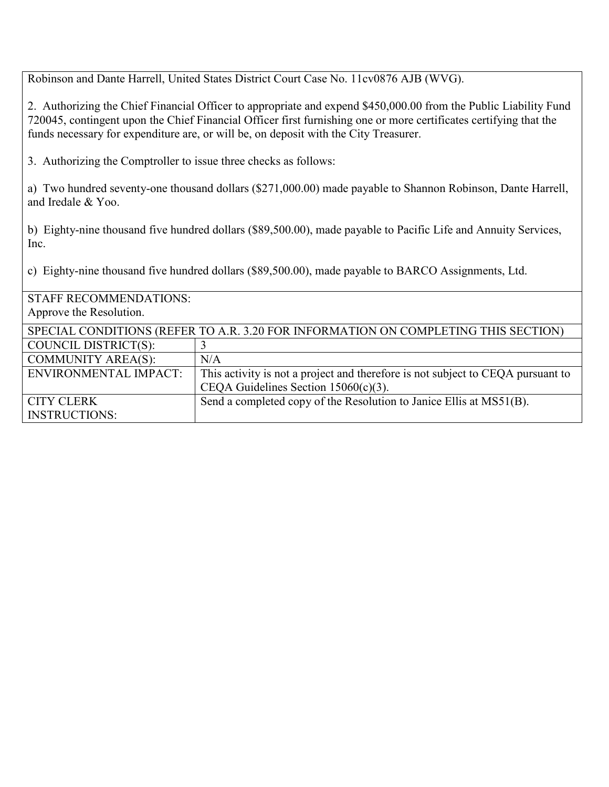Robinson and Dante Harrell, United States District Court Case No. 11cv0876 AJB (WVG).

2. Authorizing the Chief Financial Officer to appropriate and expend \$450,000.00 from the Public Liability Fund 720045, contingent upon the Chief Financial Officer first furnishing one or more certificates certifying that the funds necessary for expenditure are, or will be, on deposit with the City Treasurer.

3. Authorizing the Comptroller to issue three checks as follows:

a) Two hundred seventy-one thousand dollars (\$271,000.00) made payable to Shannon Robinson, Dante Harrell, and Iredale & Yoo.

b) Eighty-nine thousand five hundred dollars (\$89,500.00), made payable to Pacific Life and Annuity Services, Inc.

c) Eighty-nine thousand five hundred dollars (\$89,500.00), made payable to BARCO Assignments, Ltd.

| <b>STAFF RECOMMENDATIONS:</b>                                                      |                                                                                 |  |  |  |
|------------------------------------------------------------------------------------|---------------------------------------------------------------------------------|--|--|--|
| Approve the Resolution.                                                            |                                                                                 |  |  |  |
| SPECIAL CONDITIONS (REFER TO A.R. 3.20 FOR INFORMATION ON COMPLETING THIS SECTION) |                                                                                 |  |  |  |
| COUNCIL DISTRICT(S):                                                               |                                                                                 |  |  |  |
| <b>COMMUNITY AREA(S):</b>                                                          | N/A                                                                             |  |  |  |
| <b>ENVIRONMENTAL IMPACT:</b>                                                       | This activity is not a project and therefore is not subject to CEQA pursuant to |  |  |  |
|                                                                                    | CEQA Guidelines Section $15060(c)(3)$ .                                         |  |  |  |
| <b>CITY CLERK</b>                                                                  | Send a completed copy of the Resolution to Janice Ellis at MS51(B).             |  |  |  |
| <b>INSTRUCTIONS:</b>                                                               |                                                                                 |  |  |  |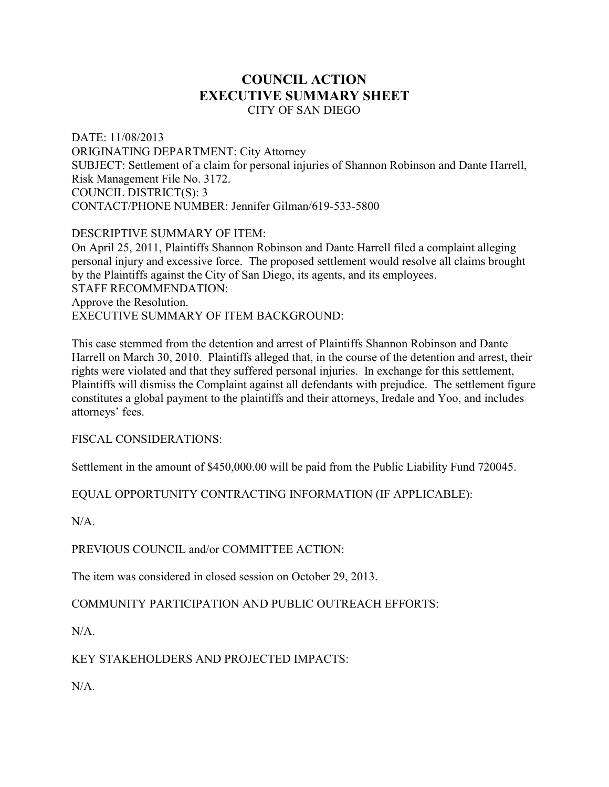## **COUNCIL ACTION EXECUTIVE SUMMARY SHEET**  CITY OF SAN DIEGO

DATE: 11/08/2013 ORIGINATING DEPARTMENT: City Attorney SUBJECT: Settlement of a claim for personal injuries of Shannon Robinson and Dante Harrell, Risk Management File No. 3172. COUNCIL DISTRICT(S): 3 CONTACT/PHONE NUMBER: Jennifer Gilman/619-533-5800

DESCRIPTIVE SUMMARY OF ITEM:

On April 25, 2011, Plaintiffs Shannon Robinson and Dante Harrell filed a complaint alleging personal injury and excessive force. The proposed settlement would resolve all claims brought by the Plaintiffs against the City of San Diego, its agents, and its employees. STAFF RECOMMENDATION: Approve the Resolution. EXECUTIVE SUMMARY OF ITEM BACKGROUND:

This case stemmed from the detention and arrest of Plaintiffs Shannon Robinson and Dante Harrell on March 30, 2010. Plaintiffs alleged that, in the course of the detention and arrest, their rights were violated and that they suffered personal injuries. In exchange for this settlement, Plaintiffs will dismiss the Complaint against all defendants with prejudice. The settlement figure constitutes a global payment to the plaintiffs and their attorneys, Iredale and Yoo, and includes attorneys' fees.

FISCAL CONSIDERATIONS:

Settlement in the amount of \$450,000.00 will be paid from the Public Liability Fund 720045.

EQUAL OPPORTUNITY CONTRACTING INFORMATION (IF APPLICABLE):

 $N/A$ 

PREVIOUS COUNCIL and/or COMMITTEE ACTION:

The item was considered in closed session on October 29, 2013.

COMMUNITY PARTICIPATION AND PUBLIC OUTREACH EFFORTS:

 $N/A$ 

## KEY STAKEHOLDERS AND PROJECTED IMPACTS:

 $N/A$